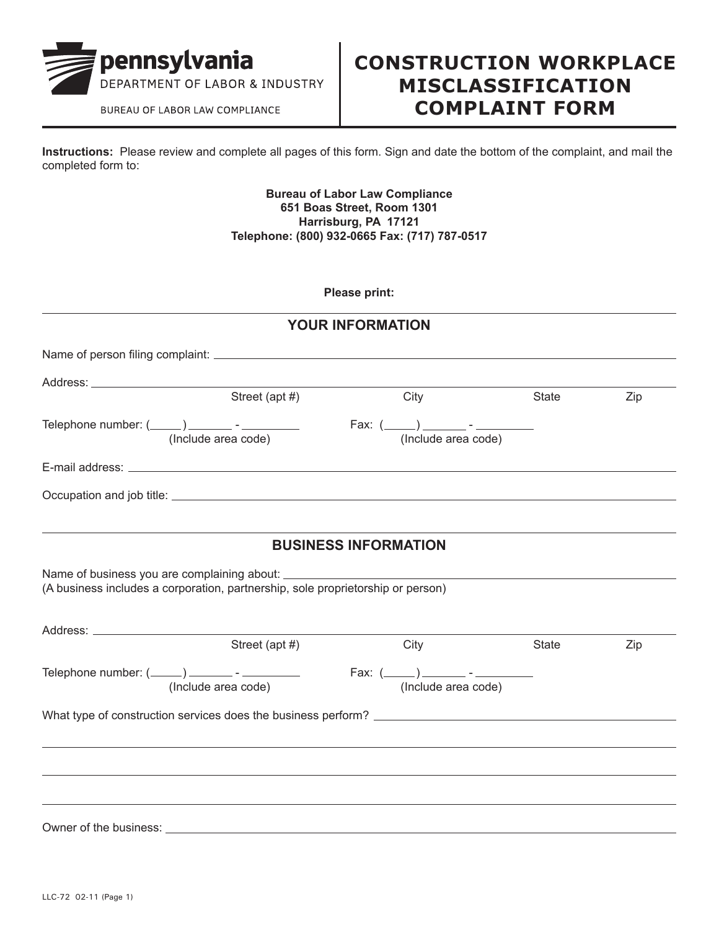

BUREAU OF LABOR LAW COMPLIANCE

## **CONSTRUCTION WORKPLACE MISCLASSIFICATION COMPLAINT FORM**

**Instructions:** Please review and complete all pages of this form. Sign and date the bottom of the complaint, and mail the completed form to:

## **Bureau of Labor Law Compliance 651 Boas Street, Room 1301 Harrisburg, PA 17121 Telephone: (800) 932-0665 Fax: (717) 787-0517**

**Please print:**

|                                                                                                                                           | <b>YOUR INFORMATION</b>     |                                                                                                                                    |       |     |
|-------------------------------------------------------------------------------------------------------------------------------------------|-----------------------------|------------------------------------------------------------------------------------------------------------------------------------|-------|-----|
|                                                                                                                                           |                             |                                                                                                                                    |       |     |
|                                                                                                                                           |                             |                                                                                                                                    |       |     |
| Street (apt #)                                                                                                                            |                             | City                                                                                                                               | State | Zip |
| Telephone number: $(\_\_\_\_)$ _________ - _________<br>(Include area code)                                                               |                             | Fax: $(\underline{\hspace{1cm}})$ $\underline{\hspace{1cm}}$ $\cdot$ $\underline{\hspace{1cm}}$ $\cdot$ $\underline{\hspace{1cm}}$ |       |     |
|                                                                                                                                           |                             |                                                                                                                                    |       |     |
|                                                                                                                                           |                             |                                                                                                                                    |       |     |
|                                                                                                                                           | <b>BUSINESS INFORMATION</b> |                                                                                                                                    |       |     |
| Name of business you are complaining about: __________<br>(A business includes a corporation, partnership, sole proprietorship or person) |                             | the control of the control of the control of the control of the control of the control of                                          |       |     |
|                                                                                                                                           |                             |                                                                                                                                    |       |     |
| Street (apt #)                                                                                                                            |                             | City                                                                                                                               | State | Zip |
| (Include area code)                                                                                                                       |                             | (Include area code)                                                                                                                |       |     |
|                                                                                                                                           |                             |                                                                                                                                    |       |     |
|                                                                                                                                           |                             |                                                                                                                                    |       |     |
|                                                                                                                                           |                             |                                                                                                                                    |       |     |
|                                                                                                                                           |                             |                                                                                                                                    |       |     |
|                                                                                                                                           |                             |                                                                                                                                    |       |     |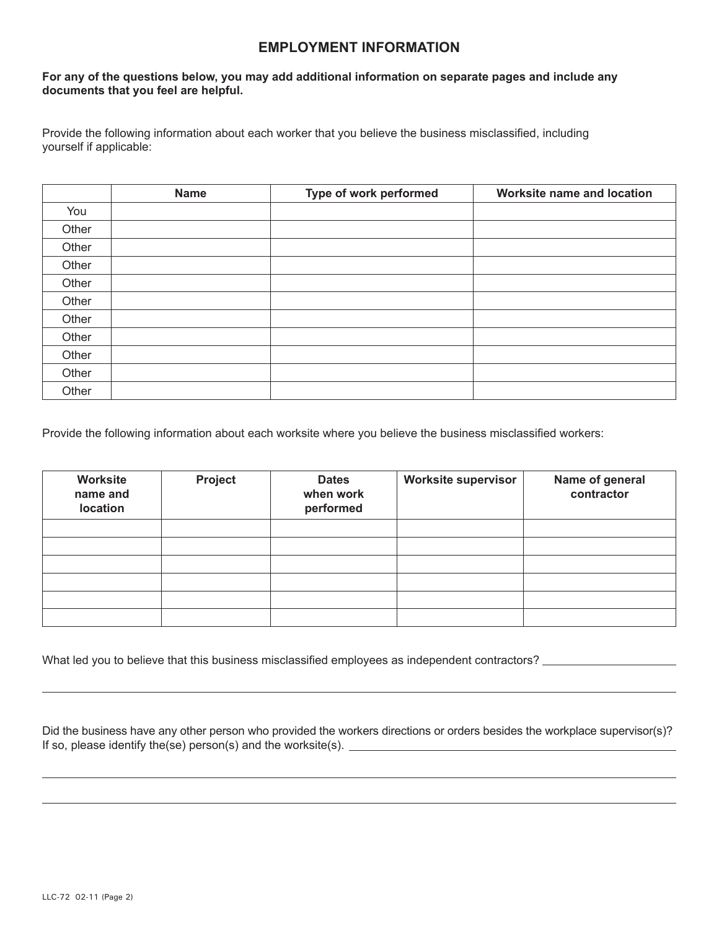## **EMPLOYMENT INFORMATION**

## **For any of the questions below, you may add additional information on separate pages and include any documents that you feel are helpful.**

Provide the following information about each worker that you believe the business misclassified, including yourself if applicable:

|       | <b>Name</b> | Type of work performed | Worksite name and location |
|-------|-------------|------------------------|----------------------------|
| You   |             |                        |                            |
| Other |             |                        |                            |
| Other |             |                        |                            |
| Other |             |                        |                            |
| Other |             |                        |                            |
| Other |             |                        |                            |
| Other |             |                        |                            |
| Other |             |                        |                            |
| Other |             |                        |                            |
| Other |             |                        |                            |
| Other |             |                        |                            |

Provide the following information about each worksite where you believe the business misclassified workers:

| Worksite<br>name and<br>location | <b>Project</b> | <b>Dates</b><br>when work<br>performed | <b>Worksite supervisor</b> | Name of general<br>contractor |
|----------------------------------|----------------|----------------------------------------|----------------------------|-------------------------------|
|                                  |                |                                        |                            |                               |
|                                  |                |                                        |                            |                               |
|                                  |                |                                        |                            |                               |
|                                  |                |                                        |                            |                               |
|                                  |                |                                        |                            |                               |
|                                  |                |                                        |                            |                               |

What led you to believe that this business misclassified employees as independent contractors? \_\_\_\_\_\_\_\_\_\_\_\_\_\_

| Did the business have any other person who provided the workers directions or orders besides the workplace supervisor(s)? |  |
|---------------------------------------------------------------------------------------------------------------------------|--|
| If so, please identify the (se) person(s) and the worksite (s).                                                           |  |